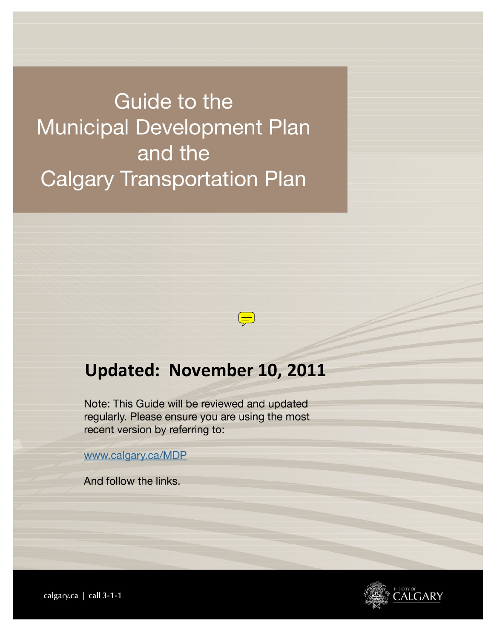Guide to the **Municipal Development Plan** and the **Calgary Transportation Plan** 

# **Updated: November 10, 2011**

 $\left(\equiv\right)$ 

Note: This Guide will be reviewed and updated regularly. Please ensure you are using the most recent version by referring to:

www.calgary.ca/MDP

And follow the links.



calgary.ca | call 3-1-1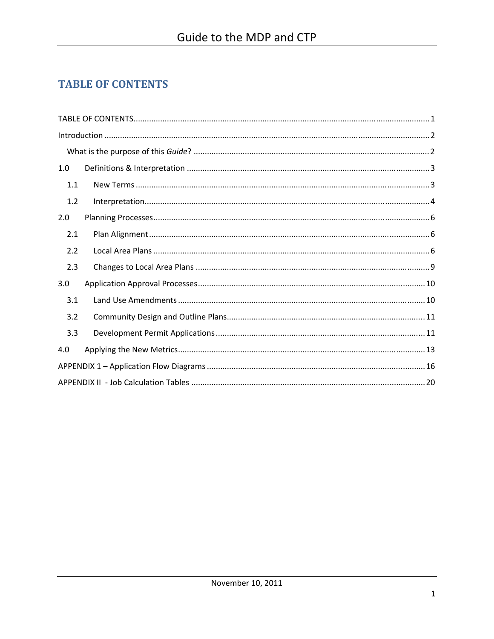## **TABLE OF CONTENTS**

| 1.0 |  |  |  |
|-----|--|--|--|
| 1.1 |  |  |  |
| 1.2 |  |  |  |
| 2.0 |  |  |  |
| 2.1 |  |  |  |
| 2.2 |  |  |  |
| 2.3 |  |  |  |
| 3.0 |  |  |  |
| 3.1 |  |  |  |
| 3.2 |  |  |  |
| 3.3 |  |  |  |
| 4.0 |  |  |  |
|     |  |  |  |
|     |  |  |  |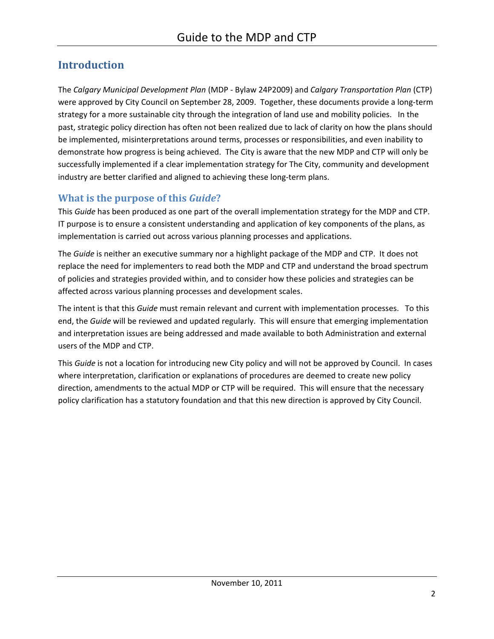## **Introduction**

The *Calgary Municipal Development Plan* (MDP - Bylaw 24P2009) and *Calgary Transportation Plan* (CTP) were approved by City Council on September 28, 2009. Together, these documents provide a long-term strategy for a more sustainable city through the integration of land use and mobility policies. In the past, strategic policy direction has often not been realized due to lack of clarity on how the plans should be implemented, misinterpretations around terms, processes or responsibilities, and even inability to demonstrate how progress is being achieved. The City is aware that the new MDP and CTP will only be successfully implemented if a clear implementation strategy for The City, community and development industry are better clarified and aligned to achieving these long-term plans.

#### **What is the purpose of this** *Guide***?**

This *Guide* has been produced as one part of the overall implementation strategy for the MDP and CTP. IT purpose is to ensure a consistent understanding and application of key components of the plans, as implementation is carried out across various planning processes and applications.

The *Guide* is neither an executive summary nor a highlight package of the MDP and CTP. It does not replace the need for implementers to read both the MDP and CTP and understand the broad spectrum of policies and strategies provided within, and to consider how these policies and strategies can be affected across various planning processes and development scales.

The intent is that this *Guide* must remain relevant and current with implementation processes. To this end, the *Guide* will be reviewed and updated regularly. This will ensure that emerging implementation and interpretation issues are being addressed and made available to both Administration and external users of the MDP and CTP.

This *Guide* is not a location for introducing new City policy and will not be approved by Council. In cases where interpretation, clarification or explanations of procedures are deemed to create new policy direction, amendments to the actual MDP or CTP will be required. This will ensure that the necessary policy clarification has a statutory foundation and that this new direction is approved by City Council.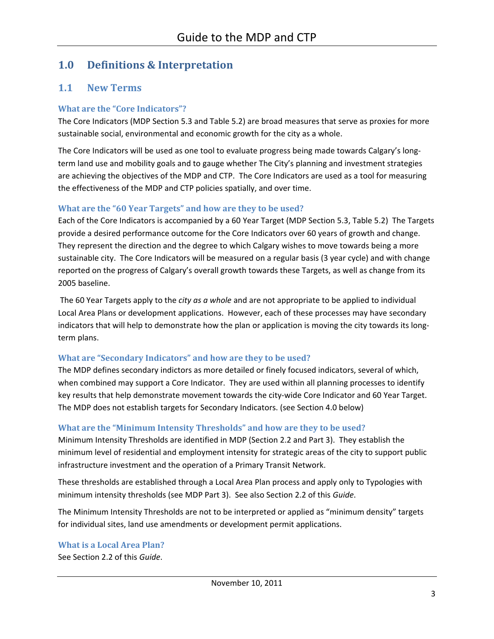### **1.0 Definitions & Interpretation**

#### **1.1 New Terms**

#### **What are the "Core Indicators"?**

The Core Indicators (MDP Section 5.3 and Table 5.2) are broad measures that serve as proxies for more sustainable social, environmental and economic growth for the city as a whole.

The Core Indicators will be used as one tool to evaluate progress being made towards Calgary's longterm land use and mobility goals and to gauge whether The City's planning and investment strategies are achieving the objectives of the MDP and CTP. The Core Indicators are used as a tool for measuring the effectiveness of the MDP and CTP policies spatially, and over time.

#### **What are the "60 Year Targets" and how are they to be used?**

Each of the Core Indicators is accompanied by a 60 Year Target (MDP Section 5.3, Table 5.2) The Targets provide a desired performance outcome for the Core Indicators over 60 years of growth and change. They represent the direction and the degree to which Calgary wishes to move towards being a more sustainable city. The Core Indicators will be measured on a regular basis (3 year cycle) and with change reported on the progress of Calgary's overall growth towards these Targets, as well as change from its 2005 baseline.

 The 60 Year Targets apply to the *city as a whole* and are not appropriate to be applied to individual Local Area Plans or development applications. However, each of these processes may have secondary indicators that will help to demonstrate how the plan or application is moving the city towards its longterm plans.

#### **What are "Secondary Indicators" and how are they to be used?**

The MDP defines secondary indictors as more detailed or finely focused indicators, several of which, when combined may support a Core Indicator. They are used within all planning processes to identify key results that help demonstrate movement towards the city-wide Core Indicator and 60 Year Target. The MDP does not establish targets for Secondary Indicators. (see Section 4.0 below)

#### **What are the "Minimum Intensity Thresholds" and how are they to be used?**

Minimum Intensity Thresholds are identified in MDP (Section 2.2 and Part 3). They establish the minimum level of residential and employment intensity for strategic areas of the city to support public infrastructure investment and the operation of a Primary Transit Network.

These thresholds are established through a Local Area Plan process and apply only to Typologies with minimum intensity thresholds (see MDP Part 3). See also Section 2.2 of this *Guide*.

The Minimum Intensity Thresholds are not to be interpreted or applied as "minimum density" targets for individual sites, land use amendments or development permit applications.

**What is a Local Area Plan?**  See Section 2.2 of this *Guide*.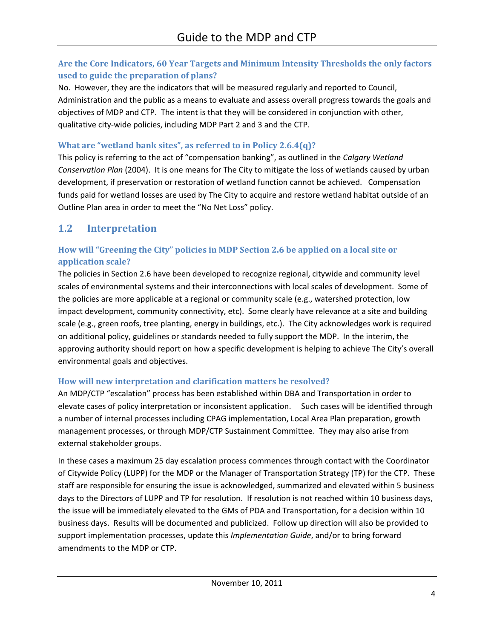#### **Are the Core Indicators, 60 Year Targets and Minimum Intensity Thresholds the only factors used to guide the preparation of plans?**

No. However, they are the indicators that will be measured regularly and reported to Council, Administration and the public as a means to evaluate and assess overall progress towards the goals and objectives of MDP and CTP. The intent is that they will be considered in conjunction with other, qualitative city-wide policies, including MDP Part 2 and 3 and the CTP.

#### **What are "wetland bank sites", as referred to in Policy 2.6.4(q)?**

This policy is referring to the act of "compensation banking", as outlined in the *Calgary Wetland Conservation Plan* (2004). It is one means for The City to mitigate the loss of wetlands caused by urban development, if preservation or restoration of wetland function cannot be achieved. Compensation funds paid for wetland losses are used by The City to acquire and restore wetland habitat outside of an Outline Plan area in order to meet the "No Net Loss" policy.

### **1.2 Interpretation**

#### **How will "Greening the City" policies in MDP Section 2.6 be applied on a local site or application scale?**

The policies in Section 2.6 have been developed to recognize regional, citywide and community level scales of environmental systems and their interconnections with local scales of development. Some of the policies are more applicable at a regional or community scale (e.g., watershed protection, low impact development, community connectivity, etc). Some clearly have relevance at a site and building scale (e.g., green roofs, tree planting, energy in buildings, etc.). The City acknowledges work is required on additional policy, guidelines or standards needed to fully support the MDP. In the interim, the approving authority should report on how a specific development is helping to achieve The City's overall environmental goals and objectives.

#### **How will new interpretation and clarification matters be resolved?**

An MDP/CTP "escalation" process has been established within DBA and Transportation in order to elevate cases of policy interpretation or inconsistent application. Such cases will be identified through a number of internal processes including CPAG implementation, Local Area Plan preparation, growth management processes, or through MDP/CTP Sustainment Committee. They may also arise from external stakeholder groups.

In these cases a maximum 25 day escalation process commences through contact with the Coordinator of Citywide Policy (LUPP) for the MDP or the Manager of Transportation Strategy (TP) for the CTP. These staff are responsible for ensuring the issue is acknowledged, summarized and elevated within 5 business days to the Directors of LUPP and TP for resolution. If resolution is not reached within 10 business days, the issue will be immediately elevated to the GMs of PDA and Transportation, for a decision within 10 business days. Results will be documented and publicized. Follow up direction will also be provided to support implementation processes, update this *Implementation Guide*, and/or to bring forward amendments to the MDP or CTP.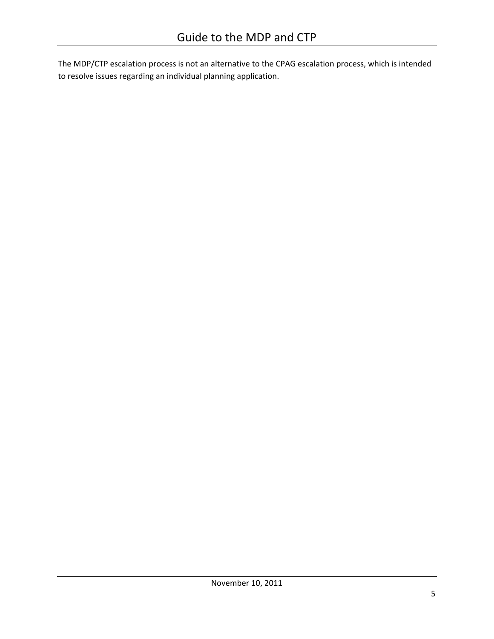The MDP/CTP escalation process is not an alternative to the CPAG escalation process, which is intended to resolve issues regarding an individual planning application.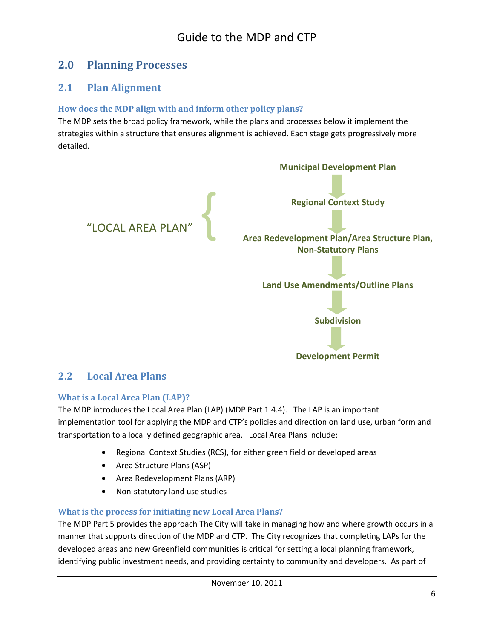### **2.0 Planning Processes**

#### **2.1 Plan Alignment**

#### **How does the MDP align with and inform other policy plans?**

The MDP sets the broad policy framework, while the plans and processes below it implement the strategies within a structure that ensures alignment is achieved. Each stage gets progressively more detailed.



#### **2.2 Local Area Plans**

#### **What is a Local Area Plan (LAP)?**

The MDP introduces the Local Area Plan (LAP) (MDP Part 1.4.4). The LAP is an important implementation tool for applying the MDP and CTP's policies and direction on land use, urban form and transportation to a locally defined geographic area. Local Area Plans include:

- Regional Context Studies (RCS), for either green field or developed areas
- Area Structure Plans (ASP)
- Area Redevelopment Plans (ARP)
- Non-statutory land use studies

#### **What is the process for initiating new Local Area Plans?**

The MDP Part 5 provides the approach The City will take in managing how and where growth occurs in a manner that supports direction of the MDP and CTP. The City recognizes that completing LAPs for the developed areas and new Greenfield communities is critical for setting a local planning framework, identifying public investment needs, and providing certainty to community and developers. As part of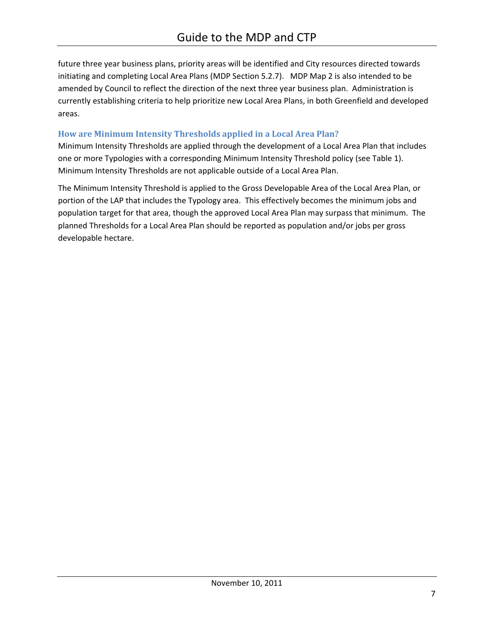future three year business plans, priority areas will be identified and City resources directed towards initiating and completing Local Area Plans (MDP Section 5.2.7). MDP Map 2 is also intended to be amended by Council to reflect the direction of the next three year business plan. Administration is currently establishing criteria to help prioritize new Local Area Plans, in both Greenfield and developed areas.

#### **How are Minimum Intensity Thresholds applied in a Local Area Plan?**

Minimum Intensity Thresholds are applied through the development of a Local Area Plan that includes one or more Typologies with a corresponding Minimum Intensity Threshold policy (see Table 1). Minimum Intensity Thresholds are not applicable outside of a Local Area Plan.

The Minimum Intensity Threshold is applied to the Gross Developable Area of the Local Area Plan, or portion of the LAP that includes the Typology area. This effectively becomes the minimum jobs and population target for that area, though the approved Local Area Plan may surpass that minimum. The planned Thresholds for a Local Area Plan should be reported as population and/or jobs per gross developable hectare.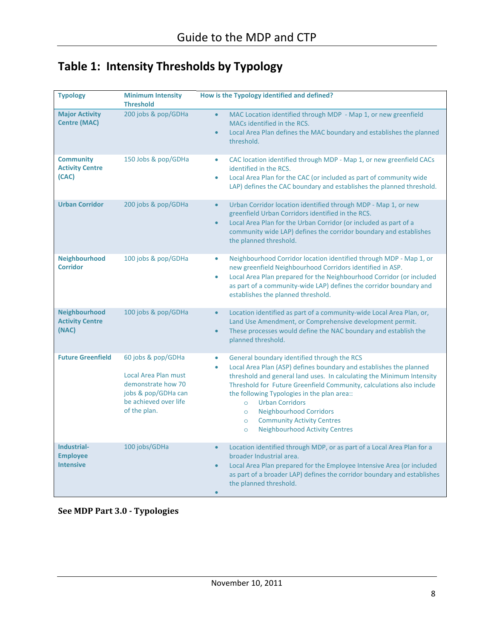# **Table 1: Intensity Thresholds by Typology**

| <b>Typology</b>                                     | <b>Minimum Intensity</b><br><b>Threshold</b>                                                                                     | How is the Typology identified and defined?                                                                                                                                                                                                                                                                                                                                                                                                                                                                                       |
|-----------------------------------------------------|----------------------------------------------------------------------------------------------------------------------------------|-----------------------------------------------------------------------------------------------------------------------------------------------------------------------------------------------------------------------------------------------------------------------------------------------------------------------------------------------------------------------------------------------------------------------------------------------------------------------------------------------------------------------------------|
| <b>Major Activity</b><br><b>Centre (MAC)</b>        | 200 jobs & pop/GDHa                                                                                                              | MAC Location identified through MDP - Map 1, or new greenfield<br>$\bullet$<br>MACs identified in the RCS.<br>Local Area Plan defines the MAC boundary and establishes the planned<br>$\bullet$<br>threshold.                                                                                                                                                                                                                                                                                                                     |
| <b>Community</b><br><b>Activity Centre</b><br>(CAC) | 150 Jobs & pop/GDHa                                                                                                              | CAC location identified through MDP - Map 1, or new greenfield CACs<br>$\bullet$<br>identified in the RCS.<br>Local Area Plan for the CAC (or included as part of community wide<br>$\bullet$<br>LAP) defines the CAC boundary and establishes the planned threshold.                                                                                                                                                                                                                                                             |
| <b>Urban Corridor</b>                               | 200 jobs & pop/GDHa                                                                                                              | Urban Corridor location identified through MDP - Map 1, or new<br>$\bullet$<br>greenfield Urban Corridors identified in the RCS.<br>Local Area Plan for the Urban Corridor (or included as part of a<br>$\bullet$<br>community wide LAP) defines the corridor boundary and establishes<br>the planned threshold.                                                                                                                                                                                                                  |
| <b>Neighbourhood</b><br><b>Corridor</b>             | 100 jobs & pop/GDHa                                                                                                              | Neighbourhood Corridor location identified through MDP - Map 1, or<br>$\bullet$<br>new greenfield Neighbourhood Corridors identified in ASP.<br>Local Area Plan prepared for the Neighbourhood Corridor (or included<br>$\bullet$<br>as part of a community-wide LAP) defines the corridor boundary and<br>establishes the planned threshold.                                                                                                                                                                                     |
| Neighbourhood<br><b>Activity Centre</b><br>(NAC)    | 100 jobs & pop/GDHa                                                                                                              | Location identified as part of a community-wide Local Area Plan, or,<br>$\bullet$<br>Land Use Amendment, or Comprehensive development permit.<br>These processes would define the NAC boundary and establish the<br>$\bullet$<br>planned threshold.                                                                                                                                                                                                                                                                               |
| <b>Future Greenfield</b>                            | 60 jobs & pop/GDHa<br>Local Area Plan must<br>demonstrate how 70<br>jobs & pop/GDHa can<br>be achieved over life<br>of the plan. | General boundary identified through the RCS<br>$\bullet$<br>Local Area Plan (ASP) defines boundary and establishes the planned<br>$\bullet$<br>threshold and general land uses. In calculating the Minimum Intensity<br>Threshold for Future Greenfield Community, calculations also include<br>the following Typologies in the plan area::<br><b>Urban Corridors</b><br>$\circ$<br><b>Neighbourhood Corridors</b><br>$\circ$<br><b>Community Activity Centres</b><br>$\circ$<br><b>Neighbourhood Activity Centres</b><br>$\circ$ |
| Industrial-<br><b>Employee</b><br><b>Intensive</b>  | 100 jobs/GDHa                                                                                                                    | Location identified through MDP, or as part of a Local Area Plan for a<br>$\bullet$<br>broader Industrial area.<br>Local Area Plan prepared for the Employee Intensive Area (or included<br>$\bullet$<br>as part of a broader LAP) defines the corridor boundary and establishes<br>the planned threshold.<br>$\bullet$                                                                                                                                                                                                           |

**See MDP Part 3.0 - Typologies**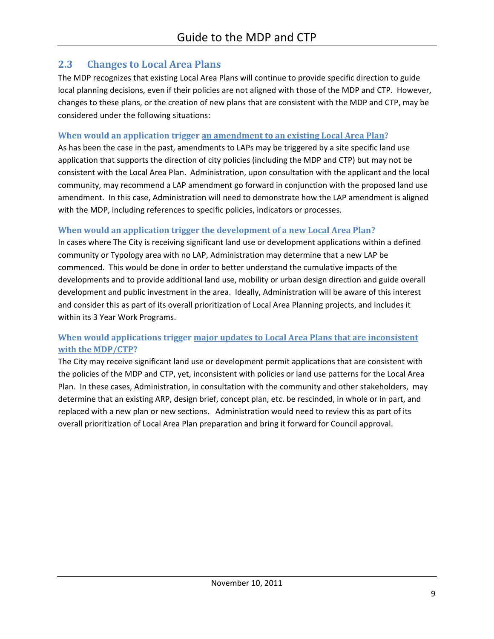#### **2.3 Changes to Local Area Plans**

The MDP recognizes that existing Local Area Plans will continue to provide specific direction to guide local planning decisions, even if their policies are not aligned with those of the MDP and CTP. However, changes to these plans, or the creation of new plans that are consistent with the MDP and CTP, may be considered under the following situations:

#### **When would an application trigger an amendment to an existing Local Area Plan?**

As has been the case in the past, amendments to LAPs may be triggered by a site specific land use application that supports the direction of city policies (including the MDP and CTP) but may not be consistent with the Local Area Plan. Administration, upon consultation with the applicant and the local community, may recommend a LAP amendment go forward in conjunction with the proposed land use amendment. In this case, Administration will need to demonstrate how the LAP amendment is aligned with the MDP, including references to specific policies, indicators or processes.

#### **When would an application trigger the development of a new Local Area Plan?**

In cases where The City is receiving significant land use or development applications within a defined community or Typology area with no LAP, Administration may determine that a new LAP be commenced. This would be done in order to better understand the cumulative impacts of the developments and to provide additional land use, mobility or urban design direction and guide overall development and public investment in the area. Ideally, Administration will be aware of this interest and consider this as part of its overall prioritization of Local Area Planning projects, and includes it within its 3 Year Work Programs.

#### **When would applications trigger major updates to Local Area Plans that are inconsistent with the MDP/CTP?**

The City may receive significant land use or development permit applications that are consistent with the policies of the MDP and CTP, yet, inconsistent with policies or land use patterns for the Local Area Plan. In these cases, Administration, in consultation with the community and other stakeholders, may determine that an existing ARP, design brief, concept plan, etc. be rescinded, in whole or in part, and replaced with a new plan or new sections. Administration would need to review this as part of its overall prioritization of Local Area Plan preparation and bring it forward for Council approval.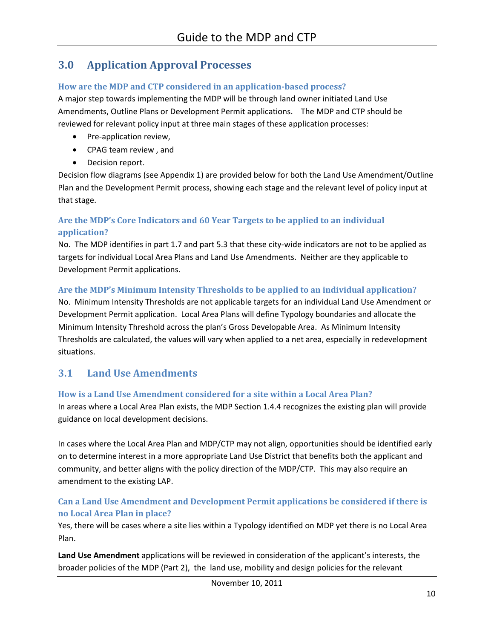### **3.0 Application Approval Processes**

#### **How are the MDP and CTP considered in an application-based process?**

A major step towards implementing the MDP will be through land owner initiated Land Use Amendments, Outline Plans or Development Permit applications. The MDP and CTP should be reviewed for relevant policy input at three main stages of these application processes:

- Pre-application review,
- CPAG team review , and
- Decision report.

Decision flow diagrams (see Appendix 1) are provided below for both the Land Use Amendment/Outline Plan and the Development Permit process, showing each stage and the relevant level of policy input at that stage.

#### **Are the MDP's Core Indicators and 60 Year Targets to be applied to an individual application?**

No. The MDP identifies in part 1.7 and part 5.3 that these city-wide indicators are not to be applied as targets for individual Local Area Plans and Land Use Amendments. Neither are they applicable to Development Permit applications.

#### **Are the MDP's Minimum Intensity Thresholds to be applied to an individual application?**

No. Minimum Intensity Thresholds are not applicable targets for an individual Land Use Amendment or Development Permit application. Local Area Plans will define Typology boundaries and allocate the Minimum Intensity Threshold across the plan's Gross Developable Area. As Minimum Intensity Thresholds are calculated, the values will vary when applied to a net area, especially in redevelopment situations.

#### **3.1 Land Use Amendments**

#### **How is a Land Use Amendment considered for a site within a Local Area Plan?**

In areas where a Local Area Plan exists, the MDP Section 1.4.4 recognizes the existing plan will provide guidance on local development decisions.

In cases where the Local Area Plan and MDP/CTP may not align, opportunities should be identified early on to determine interest in a more appropriate Land Use District that benefits both the applicant and community, and better aligns with the policy direction of the MDP/CTP. This may also require an amendment to the existing LAP.

#### **Can a Land Use Amendment and Development Permit applications be considered if there is no Local Area Plan in place?**

Yes, there will be cases where a site lies within a Typology identified on MDP yet there is no Local Area Plan.

**Land Use Amendment** applications will be reviewed in consideration of the applicant's interests, the broader policies of the MDP (Part 2), the land use, mobility and design policies for the relevant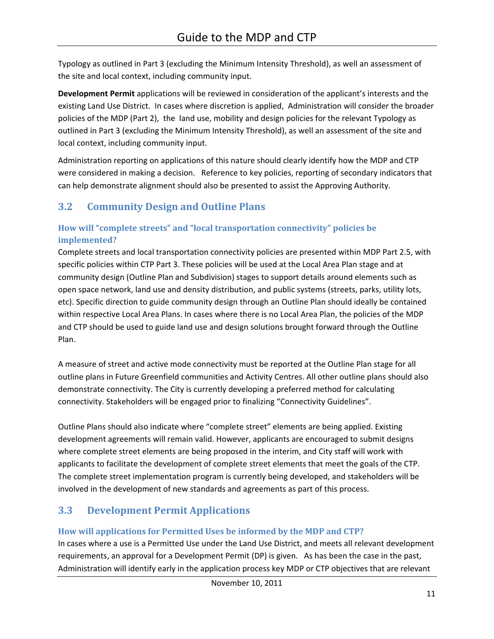Typology as outlined in Part 3 (excluding the Minimum Intensity Threshold), as well an assessment of the site and local context, including community input.

**Development Permit** applications will be reviewed in consideration of the applicant's interests and the existing Land Use District. In cases where discretion is applied, Administration will consider the broader policies of the MDP (Part 2), the land use, mobility and design policies for the relevant Typology as outlined in Part 3 (excluding the Minimum Intensity Threshold), as well an assessment of the site and local context, including community input.

Administration reporting on applications of this nature should clearly identify how the MDP and CTP were considered in making a decision. Reference to key policies, reporting of secondary indicators that can help demonstrate alignment should also be presented to assist the Approving Authority.

# **3.2 Community Design and Outline Plans**

#### **How will "complete streets" and "local transportation connectivity" policies be implemented?**

Complete streets and local transportation connectivity policies are presented within MDP Part 2.5, with specific policies within CTP Part 3. These policies will be used at the Local Area Plan stage and at community design (Outline Plan and Subdivision) stages to support details around elements such as open space network, land use and density distribution, and public systems (streets, parks, utility lots, etc). Specific direction to guide community design through an Outline Plan should ideally be contained within respective Local Area Plans. In cases where there is no Local Area Plan, the policies of the MDP and CTP should be used to guide land use and design solutions brought forward through the Outline Plan.

A measure of street and active mode connectivity must be reported at the Outline Plan stage for all outline plans in Future Greenfield communities and Activity Centres. All other outline plans should also demonstrate connectivity. The City is currently developing a preferred method for calculating connectivity. Stakeholders will be engaged prior to finalizing "Connectivity Guidelines".

Outline Plans should also indicate where "complete street" elements are being applied. Existing development agreements will remain valid. However, applicants are encouraged to submit designs where complete street elements are being proposed in the interim, and City staff will work with applicants to facilitate the development of complete street elements that meet the goals of the CTP. The complete street implementation program is currently being developed, and stakeholders will be involved in the development of new standards and agreements as part of this process.

## **3.3 Development Permit Applications**

#### **How will applications for Permitted Uses be informed by the MDP and CTP?**

In cases where a use is a Permitted Use under the Land Use District, and meets all relevant development requirements, an approval for a Development Permit (DP) is given. As has been the case in the past, Administration will identify early in the application process key MDP or CTP objectives that are relevant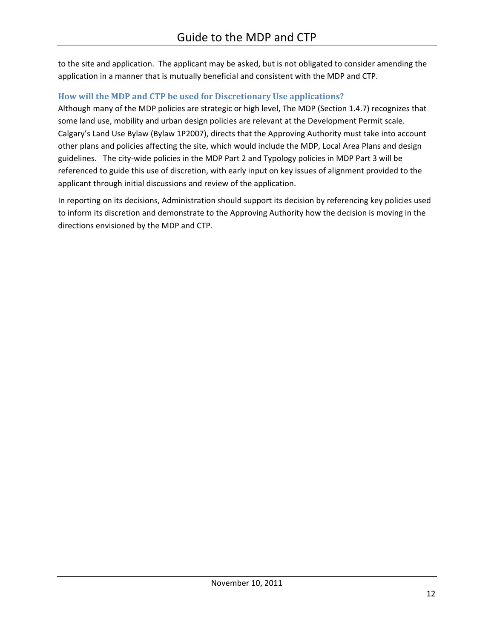to the site and application. The applicant may be asked, but is not obligated to consider amending the application in a manner that is mutually beneficial and consistent with the MDP and CTP.

#### **How will the MDP and CTP be used for Discretionary Use applications?**

Although many of the MDP policies are strategic or high level, The MDP (Section 1.4.7) recognizes that some land use, mobility and urban design policies are relevant at the Development Permit scale. Calgary's Land Use Bylaw (Bylaw 1P2007), directs that the Approving Authority must take into account other plans and policies affecting the site, which would include the MDP, Local Area Plans and design guidelines. The city-wide policies in the MDP Part 2 and Typology policies in MDP Part 3 will be referenced to guide this use of discretion, with early input on key issues of alignment provided to the applicant through initial discussions and review of the application.

In reporting on its decisions, Administration should support its decision by referencing key policies used to inform its discretion and demonstrate to the Approving Authority how the decision is moving in the directions envisioned by the MDP and CTP.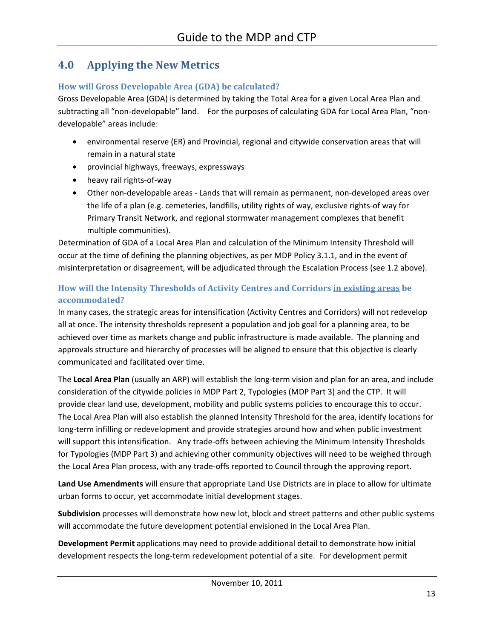### **4.0 Applying the New Metrics**

#### **How will Gross Developable Area (GDA) be calculated?**

Gross Developable Area (GDA) is determined by taking the Total Area for a given Local Area Plan and subtracting all "non-developable" land. For the purposes of calculating GDA for Local Area Plan, "nondevelopable" areas include:

- environmental reserve (ER) and Provincial, regional and citywide conservation areas that will remain in a natural state
- provincial highways, freeways, expressways
- heavy rail rights-of-way
- Other non-developable areas Lands that will remain as permanent, non-developed areas over the life of a plan (e.g. cemeteries, landfills, utility rights of way, exclusive rights-of way for Primary Transit Network, and regional stormwater management complexes that benefit multiple communities).

Determination of GDA of a Local Area Plan and calculation of the Minimum Intensity Threshold will occur at the time of defining the planning objectives, as per MDP Policy 3.1.1, and in the event of misinterpretation or disagreement, will be adjudicated through the Escalation Process (see 1.2 above).

#### **How will the Intensity Thresholds of Activity Centres and Corridors in existing areas be accommodated?**

In many cases, the strategic areas for intensification (Activity Centres and Corridors) will not redevelop all at once. The intensity thresholds represent a population and job goal for a planning area, to be achieved over time as markets change and public infrastructure is made available. The planning and approvals structure and hierarchy of processes will be aligned to ensure that this objective is clearly communicated and facilitated over time.

The **Local Area Plan** (usually an ARP) will establish the long-term vision and plan for an area, and include consideration of the citywide policies in MDP Part 2, Typologies (MDP Part 3) and the CTP. It will provide clear land use, development, mobility and public systems policies to encourage this to occur. The Local Area Plan will also establish the planned Intensity Threshold for the area, identify locations for long-term infilling or redevelopment and provide strategies around how and when public investment will support this intensification. Any trade-offs between achieving the Minimum Intensity Thresholds for Typologies (MDP Part 3) and achieving other community objectives will need to be weighed through the Local Area Plan process, with any trade-offs reported to Council through the approving report.

**Land Use Amendments** will ensure that appropriate Land Use Districts are in place to allow for ultimate urban forms to occur, yet accommodate initial development stages.

**Subdivision** processes will demonstrate how new lot, block and street patterns and other public systems will accommodate the future development potential envisioned in the Local Area Plan.

**Development Permit** applications may need to provide additional detail to demonstrate how initial development respects the long-term redevelopment potential of a site. For development permit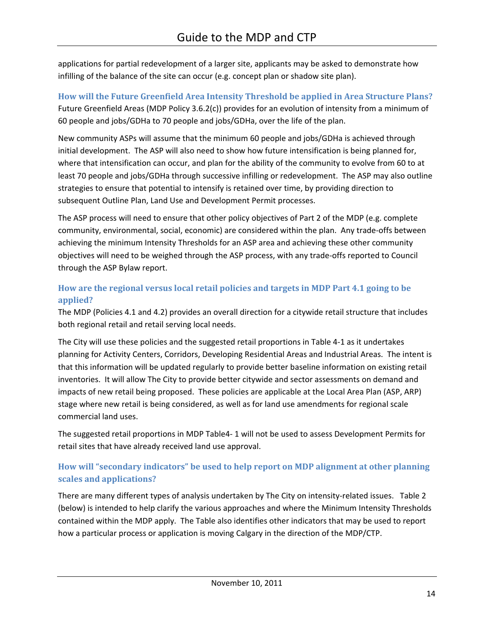applications for partial redevelopment of a larger site, applicants may be asked to demonstrate how infilling of the balance of the site can occur (e.g. concept plan or shadow site plan).

**How will the Future Greenfield Area Intensity Threshold be applied in Area Structure Plans?**  Future Greenfield Areas (MDP Policy 3.6.2(c)) provides for an evolution of intensity from a minimum of 60 people and jobs/GDHa to 70 people and jobs/GDHa, over the life of the plan.

New community ASPs will assume that the minimum 60 people and jobs/GDHa is achieved through initial development. The ASP will also need to show how future intensification is being planned for, where that intensification can occur, and plan for the ability of the community to evolve from 60 to at least 70 people and jobs/GDHa through successive infilling or redevelopment. The ASP may also outline strategies to ensure that potential to intensify is retained over time, by providing direction to subsequent Outline Plan, Land Use and Development Permit processes.

The ASP process will need to ensure that other policy objectives of Part 2 of the MDP (e.g. complete community, environmental, social, economic) are considered within the plan. Any trade-offs between achieving the minimum Intensity Thresholds for an ASP area and achieving these other community objectives will need to be weighed through the ASP process, with any trade-offs reported to Council through the ASP Bylaw report.

#### **How are the regional versus local retail policies and targets in MDP Part 4.1 going to be applied?**

The MDP (Policies 4.1 and 4.2) provides an overall direction for a citywide retail structure that includes both regional retail and retail serving local needs.

The City will use these policies and the suggested retail proportions in Table 4-1 as it undertakes planning for Activity Centers, Corridors, Developing Residential Areas and Industrial Areas. The intent is that this information will be updated regularly to provide better baseline information on existing retail inventories. It will allow The City to provide better citywide and sector assessments on demand and impacts of new retail being proposed. These policies are applicable at the Local Area Plan (ASP, ARP) stage where new retail is being considered, as well as for land use amendments for regional scale commercial land uses.

The suggested retail proportions in MDP Table4- 1 will not be used to assess Development Permits for retail sites that have already received land use approval.

#### **How will "secondary indicators" be used to help report on MDP alignment at other planning scales and applications?**

There are many different types of analysis undertaken by The City on intensity-related issues. Table 2 (below) is intended to help clarify the various approaches and where the Minimum Intensity Thresholds contained within the MDP apply. The Table also identifies other indicators that may be used to report how a particular process or application is moving Calgary in the direction of the MDP/CTP.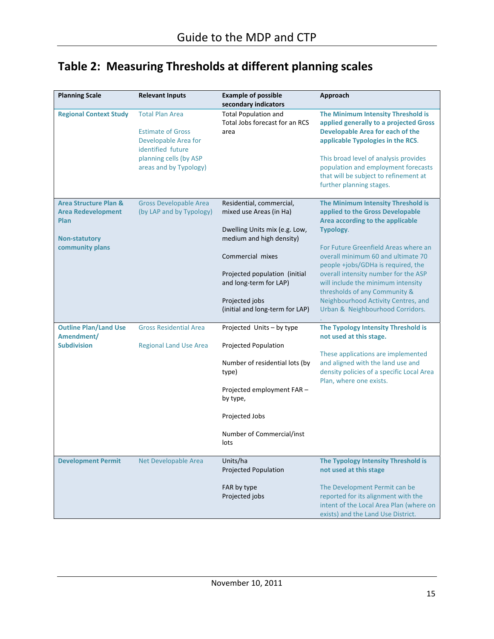# **Table 2: Measuring Thresholds at different planning scales**

| <b>Planning Scale</b>                                                                         | <b>Relevant Inputs</b>                                                                                                                              | <b>Example of possible</b><br>secondary indicators                                                                                                                                            | Approach                                                                                                                                                                                                                                                                                                          |
|-----------------------------------------------------------------------------------------------|-----------------------------------------------------------------------------------------------------------------------------------------------------|-----------------------------------------------------------------------------------------------------------------------------------------------------------------------------------------------|-------------------------------------------------------------------------------------------------------------------------------------------------------------------------------------------------------------------------------------------------------------------------------------------------------------------|
| <b>Regional Context Study</b>                                                                 | <b>Total Plan Area</b><br><b>Estimate of Gross</b><br>Developable Area for<br>identified future<br>planning cells (by ASP<br>areas and by Typology) | <b>Total Population and</b><br>Total Jobs forecast for an RCS<br>area                                                                                                                         | The Minimum Intensity Threshold is<br>applied generally to a projected Gross<br><b>Developable Area for each of the</b><br>applicable Typologies in the RCS.<br>This broad level of analysis provides<br>population and employment forecasts<br>that will be subject to refinement at<br>further planning stages. |
| <b>Area Structure Plan &amp;</b><br><b>Area Redevelopment</b><br>Plan<br><b>Non-statutory</b> | <b>Gross Developable Area</b><br>(by LAP and by Typology)                                                                                           | Residential, commercial,<br>mixed use Areas (in Ha)<br>Dwelling Units mix (e.g. Low,<br>medium and high density)                                                                              | The Minimum Intensity Threshold is<br>applied to the Gross Developable<br>Area according to the applicable<br>Typology.                                                                                                                                                                                           |
| community plans                                                                               |                                                                                                                                                     | Commercial mixes<br>Projected population (initial<br>and long-term for LAP)                                                                                                                   | For Future Greenfield Areas where an<br>overall minimum 60 and ultimate 70<br>people +jobs/GDHa is required, the<br>overall intensity number for the ASP<br>will include the minimum intensity<br>thresholds of any Community &                                                                                   |
|                                                                                               |                                                                                                                                                     | Projected jobs<br>(initial and long-term for LAP)                                                                                                                                             | Neighbourhood Activity Centres, and<br>Urban & Neighbourhood Corridors.                                                                                                                                                                                                                                           |
| <b>Outline Plan/Land Use</b><br>Amendment/<br><b>Subdivision</b>                              | <b>Gross Residential Area</b><br><b>Regional Land Use Area</b>                                                                                      | Projected Units - by type<br>Projected Population<br>Number of residential lots (by<br>type)<br>Projected employment FAR -<br>by type,<br>Projected Jobs<br>Number of Commercial/inst<br>lots | The Typology Intensity Threshold is<br>not used at this stage.<br>These applications are implemented<br>and aligned with the land use and<br>density policies of a specific Local Area<br>Plan, where one exists.                                                                                                 |
| <b>Development Permit</b>                                                                     | Net Developable Area                                                                                                                                | Units/ha<br>Projected Population<br>FAR by type<br>Projected jobs                                                                                                                             | The Typology Intensity Threshold is<br>not used at this stage<br>The Development Permit can be<br>reported for its alignment with the<br>intent of the Local Area Plan (where on<br>exists) and the Land Use District.                                                                                            |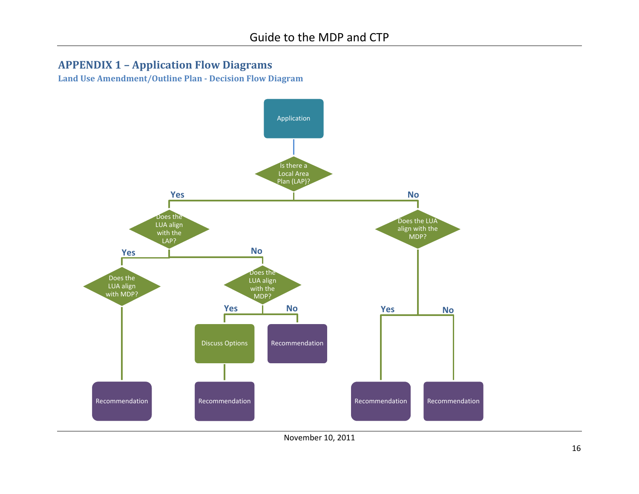### **APPENDIX 1 – Application Flow Diagrams**

**Land Use Amendment/Outline Plan - Decision Flow Diagram**

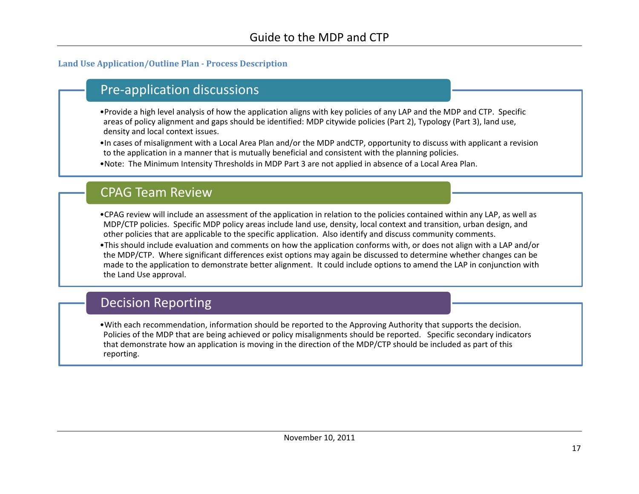#### **Land Use Application/Outline Plan - Process Description**

# Pre-application discussions

•Provide a high level analysis of how the application aligns with key policies of any LAP and the MDP and CTP. Specific areas of policy alignment and gaps should be identified: MDP citywide policies (Part 2), Typology (Part 3), land use, density and local context issues.

•In cases of misalignment with a Local Area Plan and/or the MDP andCTP, opportunity to discuss with applicant a revision to the application in a manner that is mutually beneficial and consistent with the planning policies.

•Note: The Minimum Intensity Thresholds in MDP Part 3 are not applied in absence of a Local Area Plan.

# CPAG Team Review

•CPAG review will include an assessment of the application in relation to the policies contained within any LAP, as well as MDP/CTP policies. Specific MDP policy areas include land use, density, local context and transition, urban design, and other policies that are applicable to the specific application. Also identify and discuss community comments.

•This should include evaluation and comments on how the application conforms with, or does not align with a LAP and/or the MDP/CTP. Where significant differences exist options may again be discussed to determine whether changes can be made to the application to demonstrate better alignment. It could include options to amend the LAP in conjunction with the Land Use approval.

# Decision Reporting

•With each recommendation, information should be reported to the Approving Authority that supports the decision. Policies of the MDP that are being achieved or policy misalignments should be reported. Specific secondary indicators that demonstrate how an application is moving in the direction of the MDP/CTP should be included as part of this reporting.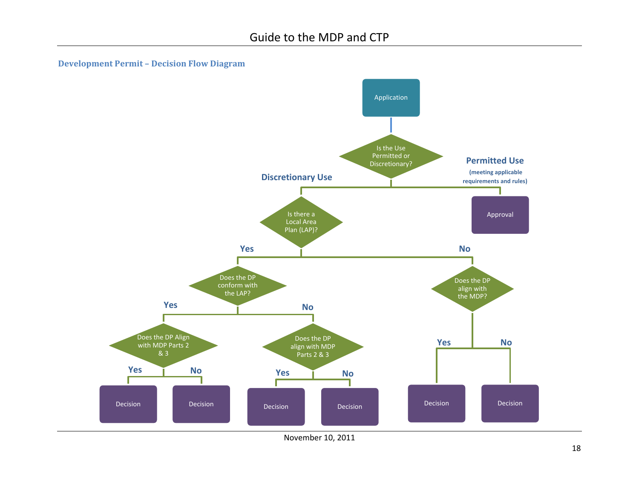



November 10, 2011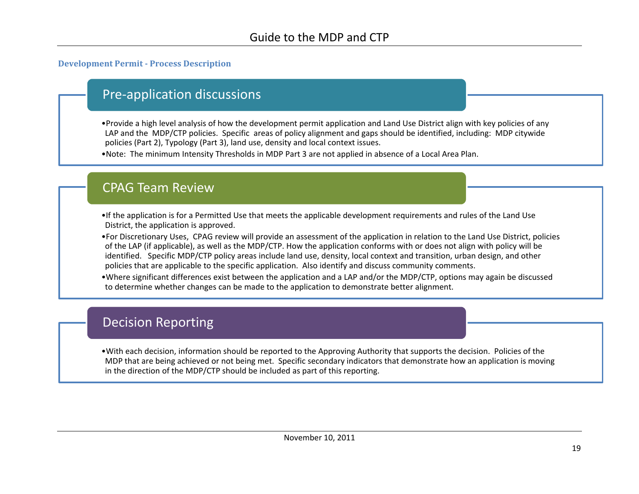#### **Development Permit - Process Description**

# Pre-application discussions

- •Provide a high level analysis of how the development permit application and Land Use District align with key policies of any LAP and the MDP/CTP policies. Specific areas of policy alignment and gaps should be identified, including: MDP citywide policies (Part 2), Typology (Part 3), land use, density and local context issues.
- •Note: The minimum Intensity Thresholds in MDP Part 3 are not applied in absence of a Local Area Plan.

## CPAG Team Review

- •If the application is for a Permitted Use that meets the applicable development requirements and rules of the Land Use District, the application is approved.
- •For Discretionary Uses, CPAG review will provide an assessment of the application in relation to the Land Use District, policies of the LAP (if applicable), as well as the MDP/CTP. How the application conforms with or does not align with policy will be identified. Specific MDP/CTP policy areas include land use, density, local context and transition, urban design, and other policies that are applicable to the specific application. Also identify and discuss community comments.
- •Where significant differences exist between the application and a LAP and/or the MDP/CTP, options may again be discussed to determine whether changes can be made to the application to demonstrate better alignment.

# Decision Reporting

•With each decision, information should be reported to the Approving Authority that supports the decision. Policies of the MDP that are being achieved or not being met. Specific secondary indicators that demonstrate how an application is moving in the direction of the MDP/CTP should be included as part of this reporting.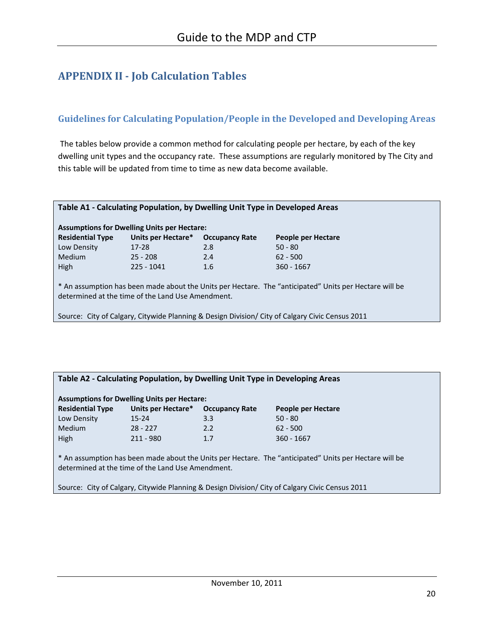# **APPENDIX II - Job Calculation Tables**

#### **Guidelines for Calculating Population/People in the Developed and Developing Areas**

The tables below provide a common method for calculating people per hectare, by each of the key dwelling unit types and the occupancy rate. These assumptions are regularly monitored by The City and this table will be updated from time to time as new data become available.

| Table A1 - Calculating Population, by Dwelling Unit Type in Developed Areas                                                                                 |                    |                       |                    |  |  |  |  |  |
|-------------------------------------------------------------------------------------------------------------------------------------------------------------|--------------------|-----------------------|--------------------|--|--|--|--|--|
| <b>Assumptions for Dwelling Units per Hectare:</b>                                                                                                          |                    |                       |                    |  |  |  |  |  |
| <b>Residential Type</b>                                                                                                                                     | Units per Hectare* | <b>Occupancy Rate</b> | People per Hectare |  |  |  |  |  |
| Low Density                                                                                                                                                 | $17 - 28$          | 2.8                   | $50 - 80$          |  |  |  |  |  |
| <b>Medium</b>                                                                                                                                               | $25 - 208$         | 2.4                   | $62 - 500$         |  |  |  |  |  |
| <b>High</b>                                                                                                                                                 | $225 - 1041$       | 1.6                   | $360 - 1667$       |  |  |  |  |  |
| * An assumption has been made about the Units per Hectare. The "anticipated" Units per Hectare will be<br>determined at the time of the Land Use Amendment. |                    |                       |                    |  |  |  |  |  |
|                                                                                                                                                             |                    |                       |                    |  |  |  |  |  |

Source: City of Calgary, Citywide Planning & Design Division/ City of Calgary Civic Census 2011

#### **Table A2 - Calculating Population, by Dwelling Unit Type in Developing Areas**

| <b>Assumptions for Dwelling Units per Hectare:</b> |                    |                       |                    |  |  |  |  |
|----------------------------------------------------|--------------------|-----------------------|--------------------|--|--|--|--|
| <b>Residential Type</b>                            | Units per Hectare* | <b>Occupancy Rate</b> | People per Hectare |  |  |  |  |
| Low Density                                        | $15 - 24$          | 3.3                   | $50 - 80$          |  |  |  |  |
| Medium                                             | $28 - 227$         | 2.2                   | $62 - 500$         |  |  |  |  |
| High                                               | $211 - 980$        | 1.7                   | $360 - 1667$       |  |  |  |  |

\* An assumption has been made about the Units per Hectare. The "anticipated" Units per Hectare will be determined at the time of the Land Use Amendment.

Source: City of Calgary, Citywide Planning & Design Division/ City of Calgary Civic Census 2011